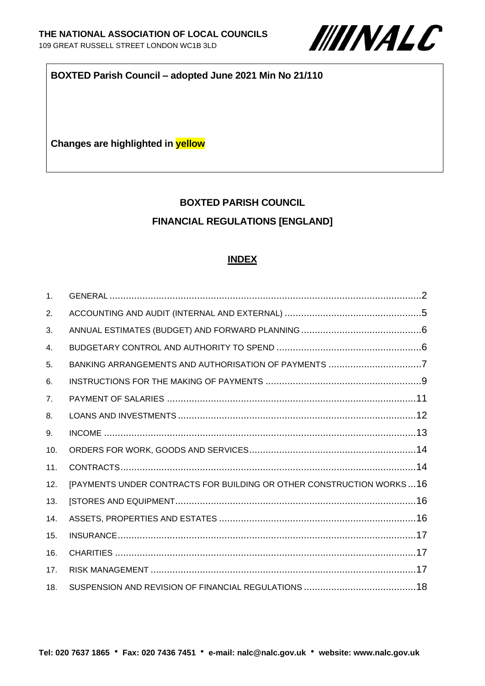

#### **BOXTED Parish Council – adopted June 2021 Min No 21/110**

**Changes are highlighted in yellow**

# **BOXTED PARISH COUNCIL FINANCIAL REGULATIONS [ENGLAND]**

#### **INDEX**

| 1 <sub>1</sub> |                                                                      |  |
|----------------|----------------------------------------------------------------------|--|
| 2.             |                                                                      |  |
| 3.             |                                                                      |  |
| 4.             |                                                                      |  |
| 5.             | BANKING ARRANGEMENTS AND AUTHORISATION OF PAYMENTS 7                 |  |
| 6.             |                                                                      |  |
| 7 <sub>1</sub> |                                                                      |  |
| 8.             |                                                                      |  |
| 9.             |                                                                      |  |
| 10.            |                                                                      |  |
| 11.            |                                                                      |  |
| 12.            | [PAYMENTS UNDER CONTRACTS FOR BUILDING OR OTHER CONSTRUCTION WORKS16 |  |
| 13.            |                                                                      |  |
| 14.            |                                                                      |  |
| 15.            |                                                                      |  |
| 16.            |                                                                      |  |
| 17.            |                                                                      |  |
| 18.            |                                                                      |  |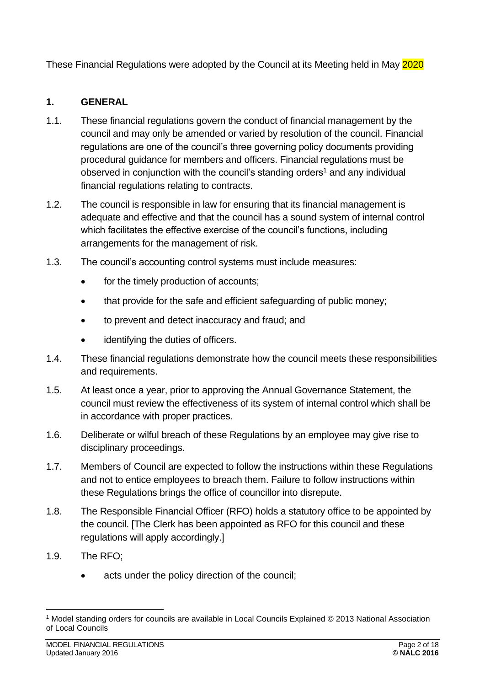These Financial Regulations were adopted by the Council at its Meeting held in May 2020

# <span id="page-1-0"></span>**1. GENERAL**

- 1.1. These financial regulations govern the conduct of financial management by the council and may only be amended or varied by resolution of the council. Financial regulations are one of the council's three governing policy documents providing procedural guidance for members and officers. Financial regulations must be observed in conjunction with the council's standing orders<sup>1</sup> and any individual financial regulations relating to contracts.
- 1.2. The council is responsible in law for ensuring that its financial management is adequate and effective and that the council has a sound system of internal control which facilitates the effective exercise of the council's functions, including arrangements for the management of risk.
- 1.3. The council's accounting control systems must include measures:
	- for the timely production of accounts;
	- that provide for the safe and efficient safeguarding of public money;
	- to prevent and detect inaccuracy and fraud; and
	- identifying the duties of officers.
- 1.4. These financial regulations demonstrate how the council meets these responsibilities and requirements.
- 1.5. At least once a year, prior to approving the Annual Governance Statement, the council must review the effectiveness of its system of internal control which shall be in accordance with proper practices.
- 1.6. Deliberate or wilful breach of these Regulations by an employee may give rise to disciplinary proceedings.
- 1.7. Members of Council are expected to follow the instructions within these Regulations and not to entice employees to breach them. Failure to follow instructions within these Regulations brings the office of councillor into disrepute.
- 1.8. The Responsible Financial Officer (RFO) holds a statutory office to be appointed by the council. [The Clerk has been appointed as RFO for this council and these regulations will apply accordingly.]
- 1.9. The RFO;
	- acts under the policy direction of the council;

<sup>1</sup> Model standing orders for councils are available in Local Councils Explained © 2013 National Association of Local Councils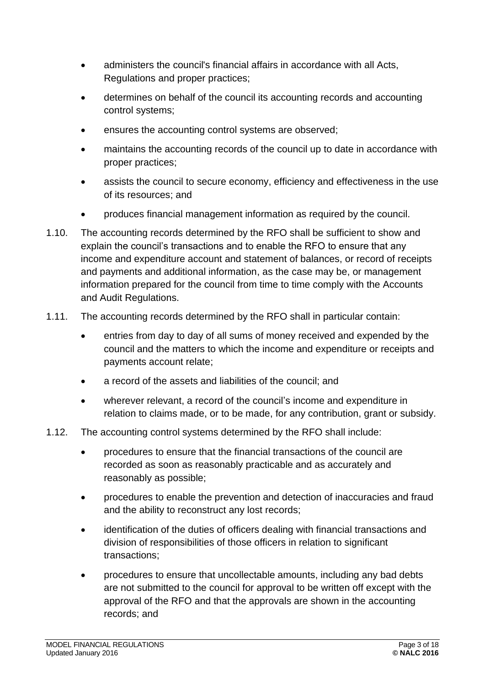- administers the council's financial affairs in accordance with all Acts, Regulations and proper practices;
- determines on behalf of the council its accounting records and accounting control systems;
- ensures the accounting control systems are observed;
- maintains the accounting records of the council up to date in accordance with proper practices;
- assists the council to secure economy, efficiency and effectiveness in the use of its resources; and
- produces financial management information as required by the council.
- 1.10. The accounting records determined by the RFO shall be sufficient to show and explain the council's transactions and to enable the RFO to ensure that any income and expenditure account and statement of balances, or record of receipts and payments and additional information, as the case may be, or management information prepared for the council from time to time comply with the Accounts and Audit Regulations.
- 1.11. The accounting records determined by the RFO shall in particular contain:
	- entries from day to day of all sums of money received and expended by the council and the matters to which the income and expenditure or receipts and payments account relate;
	- a record of the assets and liabilities of the council; and
	- wherever relevant, a record of the council's income and expenditure in relation to claims made, or to be made, for any contribution, grant or subsidy.
- 1.12. The accounting control systems determined by the RFO shall include:
	- procedures to ensure that the financial transactions of the council are recorded as soon as reasonably practicable and as accurately and reasonably as possible;
	- procedures to enable the prevention and detection of inaccuracies and fraud and the ability to reconstruct any lost records;
	- identification of the duties of officers dealing with financial transactions and division of responsibilities of those officers in relation to significant transactions;
	- procedures to ensure that uncollectable amounts, including any bad debts are not submitted to the council for approval to be written off except with the approval of the RFO and that the approvals are shown in the accounting records; and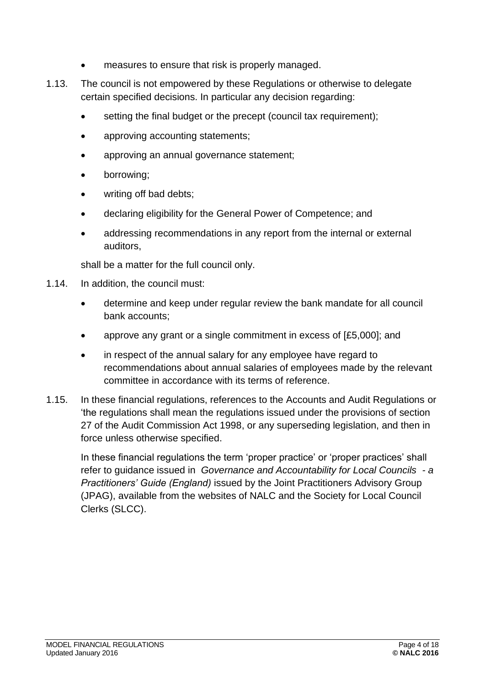- measures to ensure that risk is properly managed.
- 1.13. The council is not empowered by these Regulations or otherwise to delegate certain specified decisions. In particular any decision regarding:
	- setting the final budget or the precept (council tax requirement);
	- approving accounting statements;
	- approving an annual governance statement;
	- borrowing;
	- writing off bad debts:
	- declaring eligibility for the General Power of Competence; and
	- addressing recommendations in any report from the internal or external auditors,

shall be a matter for the full council only.

- 1.14. In addition, the council must:
	- determine and keep under regular review the bank mandate for all council bank accounts;
	- approve any grant or a single commitment in excess of [£5,000]; and
	- in respect of the annual salary for any employee have regard to recommendations about annual salaries of employees made by the relevant committee in accordance with its terms of reference.
- 1.15. In these financial regulations, references to the Accounts and Audit Regulations or 'the regulations shall mean the regulations issued under the provisions of section 27 of the Audit Commission Act 1998, or any superseding legislation, and then in force unless otherwise specified.

<span id="page-3-0"></span>In these financial regulations the term 'proper practice' or 'proper practices' shall refer to guidance issued in *Governance and Accountability for Local Councils - a Practitioners' Guide (England)* issued by the Joint Practitioners Advisory Group (JPAG), available from the websites of NALC and the Society for Local Council Clerks (SLCC).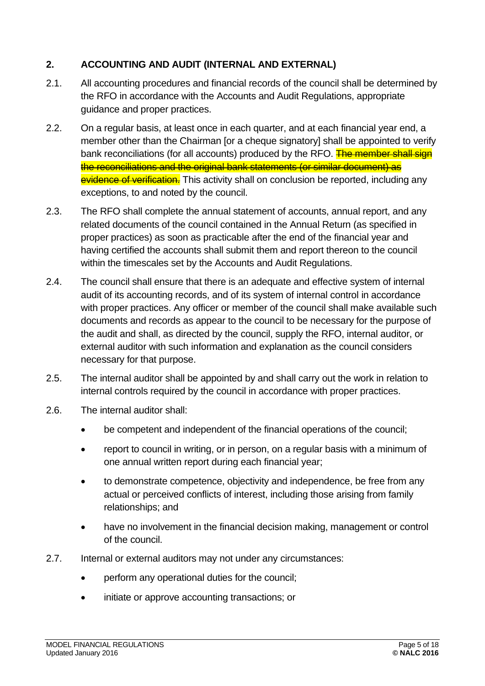## **2. ACCOUNTING AND AUDIT (INTERNAL AND EXTERNAL)**

- 2.1. All accounting procedures and financial records of the council shall be determined by the RFO in accordance with the Accounts and Audit Regulations, appropriate guidance and proper practices.
- 2.2. On a regular basis, at least once in each quarter, and at each financial year end, a member other than the Chairman [or a cheque signatory] shall be appointed to verify bank reconciliations (for all accounts) produced by the RFO. The member shall sign the reconciliations and the original bank statements (or similar document) as evidence of verification. This activity shall on conclusion be reported, including any exceptions, to and noted by the council.
- 2.3. The RFO shall complete the annual statement of accounts, annual report, and any related documents of the council contained in the Annual Return (as specified in proper practices) as soon as practicable after the end of the financial year and having certified the accounts shall submit them and report thereon to the council within the timescales set by the Accounts and Audit Regulations.
- 2.4. The council shall ensure that there is an adequate and effective system of internal audit of its accounting records, and of its system of internal control in accordance with proper practices. Any officer or member of the council shall make available such documents and records as appear to the council to be necessary for the purpose of the audit and shall, as directed by the council, supply the RFO, internal auditor, or external auditor with such information and explanation as the council considers necessary for that purpose.
- 2.5. The internal auditor shall be appointed by and shall carry out the work in relation to internal controls required by the council in accordance with proper practices.
- 2.6. The internal auditor shall:
	- be competent and independent of the financial operations of the council;
	- report to council in writing, or in person, on a regular basis with a minimum of one annual written report during each financial year;
	- to demonstrate competence, objectivity and independence, be free from any actual or perceived conflicts of interest, including those arising from family relationships; and
	- have no involvement in the financial decision making, management or control of the council.
- 2.7. Internal or external auditors may not under any circumstances:
	- perform any operational duties for the council;
	- initiate or approve accounting transactions; or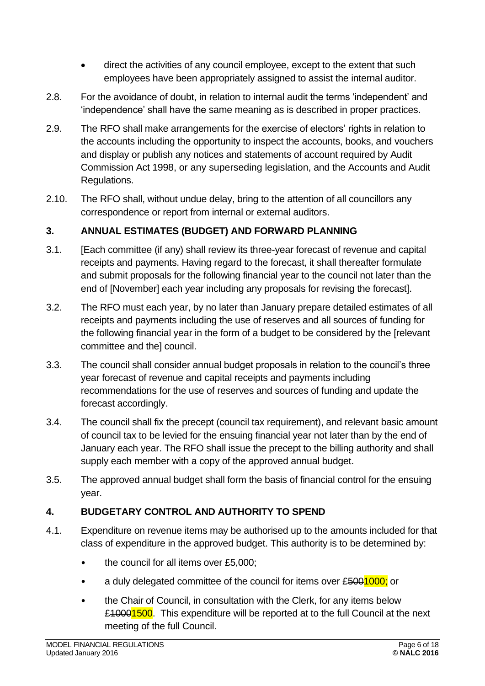- direct the activities of any council employee, except to the extent that such employees have been appropriately assigned to assist the internal auditor.
- 2.8. For the avoidance of doubt, in relation to internal audit the terms 'independent' and 'independence' shall have the same meaning as is described in proper practices.
- 2.9. The RFO shall make arrangements for the exercise of electors' rights in relation to the accounts including the opportunity to inspect the accounts, books, and vouchers and display or publish any notices and statements of account required by Audit Commission Act 1998, or any superseding legislation, and the Accounts and Audit Regulations.
- 2.10. The RFO shall, without undue delay, bring to the attention of all councillors any correspondence or report from internal or external auditors.

## <span id="page-5-0"></span>**3. ANNUAL ESTIMATES (BUDGET) AND FORWARD PLANNING**

- 3.1. [Each committee (if any) shall review its three-year forecast of revenue and capital receipts and payments. Having regard to the forecast, it shall thereafter formulate and submit proposals for the following financial year to the council not later than the end of [November] each year including any proposals for revising the forecast].
- 3.2. The RFO must each year, by no later than January prepare detailed estimates of all receipts and payments including the use of reserves and all sources of funding for the following financial year in the form of a budget to be considered by the [relevant committee and the] council.
- 3.3. The council shall consider annual budget proposals in relation to the council's three year forecast of revenue and capital receipts and payments including recommendations for the use of reserves and sources of funding and update the forecast accordingly.
- 3.4. The council shall fix the precept (council tax requirement), and relevant basic amount of council tax to be levied for the ensuing financial year not later than by the end of January each year. The RFO shall issue the precept to the billing authority and shall supply each member with a copy of the approved annual budget.
- 3.5. The approved annual budget shall form the basis of financial control for the ensuing year.

# <span id="page-5-1"></span>**4. BUDGETARY CONTROL AND AUTHORITY TO SPEND**

- 4.1. Expenditure on revenue items may be authorised up to the amounts included for that class of expenditure in the approved budget. This authority is to be determined by:
	- the council for all items over £5,000;
	- a duly delegated committee of the council for items over £5001000; or
	- the Chair of Council, in consultation with the Clerk, for any items below £<del>10001500</del>. This expenditure will be reported at to the full Council at the next meeting of the full Council.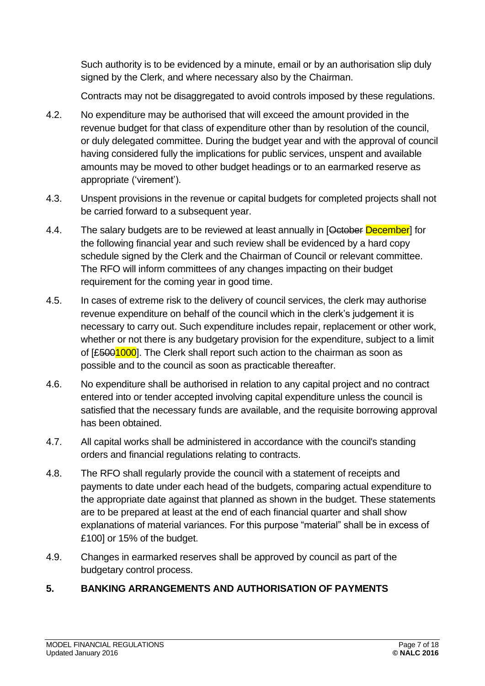Such authority is to be evidenced by a minute, email or by an authorisation slip duly signed by the Clerk, and where necessary also by the Chairman.

Contracts may not be disaggregated to avoid controls imposed by these regulations.

- 4.2. No expenditure may be authorised that will exceed the amount provided in the revenue budget for that class of expenditure other than by resolution of the council, or duly delegated committee. During the budget year and with the approval of council having considered fully the implications for public services, unspent and available amounts may be moved to other budget headings or to an earmarked reserve as appropriate ('virement').
- 4.3. Unspent provisions in the revenue or capital budgets for completed projects shall not be carried forward to a subsequent year.
- 4.4. The salary budgets are to be reviewed at least annually in [October December] for the following financial year and such review shall be evidenced by a hard copy schedule signed by the Clerk and the Chairman of Council or relevant committee. The RFO will inform committees of any changes impacting on their budget requirement for the coming year in good time.
- 4.5. In cases of extreme risk to the delivery of council services, the clerk may authorise revenue expenditure on behalf of the council which in the clerk's judgement it is necessary to carry out. Such expenditure includes repair, replacement or other work, whether or not there is any budgetary provision for the expenditure, subject to a limit of [£5001000]. The Clerk shall report such action to the chairman as soon as possible and to the council as soon as practicable thereafter.
- 4.6. No expenditure shall be authorised in relation to any capital project and no contract entered into or tender accepted involving capital expenditure unless the council is satisfied that the necessary funds are available, and the requisite borrowing approval has been obtained.
- 4.7. All capital works shall be administered in accordance with the council's standing orders and financial regulations relating to contracts.
- 4.8. The RFO shall regularly provide the council with a statement of receipts and payments to date under each head of the budgets, comparing actual expenditure to the appropriate date against that planned as shown in the budget. These statements are to be prepared at least at the end of each financial quarter and shall show explanations of material variances. For this purpose "material" shall be in excess of £100] or 15% of the budget.
- 4.9. Changes in earmarked reserves shall be approved by council as part of the budgetary control process.

#### <span id="page-6-0"></span>**5. BANKING ARRANGEMENTS AND AUTHORISATION OF PAYMENTS**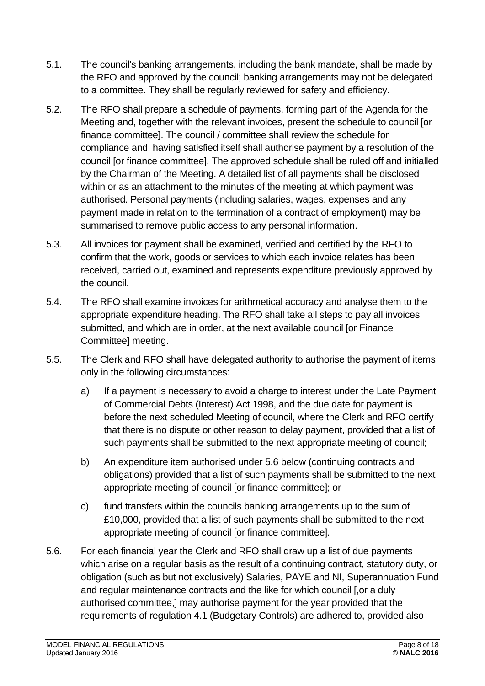- 5.1. The council's banking arrangements, including the bank mandate, shall be made by the RFO and approved by the council; banking arrangements may not be delegated to a committee. They shall be regularly reviewed for safety and efficiency.
- 5.2. The RFO shall prepare a schedule of payments, forming part of the Agenda for the Meeting and, together with the relevant invoices, present the schedule to council [or finance committee]. The council / committee shall review the schedule for compliance and, having satisfied itself shall authorise payment by a resolution of the council [or finance committee]. The approved schedule shall be ruled off and initialled by the Chairman of the Meeting. A detailed list of all payments shall be disclosed within or as an attachment to the minutes of the meeting at which payment was authorised. Personal payments (including salaries, wages, expenses and any payment made in relation to the termination of a contract of employment) may be summarised to remove public access to any personal information.
- 5.3. All invoices for payment shall be examined, verified and certified by the RFO to confirm that the work, goods or services to which each invoice relates has been received, carried out, examined and represents expenditure previously approved by the council.
- 5.4. The RFO shall examine invoices for arithmetical accuracy and analyse them to the appropriate expenditure heading. The RFO shall take all steps to pay all invoices submitted, and which are in order, at the next available council [or Finance Committee] meeting.
- 5.5. The Clerk and RFO shall have delegated authority to authorise the payment of items only in the following circumstances:
	- a) If a payment is necessary to avoid a charge to interest under the Late Payment of Commercial Debts (Interest) Act 1998, and the due date for payment is before the next scheduled Meeting of council, where the Clerk and RFO certify that there is no dispute or other reason to delay payment, provided that a list of such payments shall be submitted to the next appropriate meeting of council;
	- b) An expenditure item authorised under 5.6 below (continuing contracts and obligations) provided that a list of such payments shall be submitted to the next appropriate meeting of council [or finance committee]; or
	- c) fund transfers within the councils banking arrangements up to the sum of £10,000, provided that a list of such payments shall be submitted to the next appropriate meeting of council [or finance committee].
- 5.6. For each financial year the Clerk and RFO shall draw up a list of due payments which arise on a regular basis as the result of a continuing contract, statutory duty, or obligation (such as but not exclusively) Salaries, PAYE and NI, Superannuation Fund and regular maintenance contracts and the like for which council [,or a duly authorised committee,] may authorise payment for the year provided that the requirements of regulation 4.1 (Budgetary Controls) are adhered to, provided also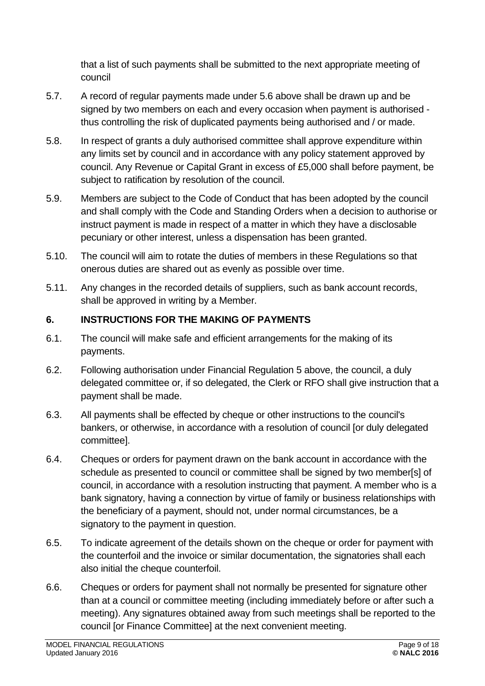that a list of such payments shall be submitted to the next appropriate meeting of council

- 5.7. A record of regular payments made under 5.6 above shall be drawn up and be signed by two members on each and every occasion when payment is authorised thus controlling the risk of duplicated payments being authorised and / or made.
- 5.8. In respect of grants a duly authorised committee shall approve expenditure within any limits set by council and in accordance with any policy statement approved by council. Any Revenue or Capital Grant in excess of £5,000 shall before payment, be subject to ratification by resolution of the council.
- 5.9. Members are subject to the Code of Conduct that has been adopted by the council and shall comply with the Code and Standing Orders when a decision to authorise or instruct payment is made in respect of a matter in which they have a disclosable pecuniary or other interest, unless a dispensation has been granted.
- 5.10. The council will aim to rotate the duties of members in these Regulations so that onerous duties are shared out as evenly as possible over time.
- 5.11. Any changes in the recorded details of suppliers, such as bank account records, shall be approved in writing by a Member.

# <span id="page-8-0"></span>**6. INSTRUCTIONS FOR THE MAKING OF PAYMENTS**

- 6.1. The council will make safe and efficient arrangements for the making of its payments.
- 6.2. Following authorisation under Financial Regulation 5 above, the council, a duly delegated committee or, if so delegated, the Clerk or RFO shall give instruction that a payment shall be made.
- 6.3. All payments shall be effected by cheque or other instructions to the council's bankers, or otherwise, in accordance with a resolution of council [or duly delegated committee].
- 6.4. Cheques or orders for payment drawn on the bank account in accordance with the schedule as presented to council or committee shall be signed by two member[s] of council, in accordance with a resolution instructing that payment. A member who is a bank signatory, having a connection by virtue of family or business relationships with the beneficiary of a payment, should not, under normal circumstances, be a signatory to the payment in question.
- 6.5. To indicate agreement of the details shown on the cheque or order for payment with the counterfoil and the invoice or similar documentation, the signatories shall each also initial the cheque counterfoil.
- 6.6. Cheques or orders for payment shall not normally be presented for signature other than at a council or committee meeting (including immediately before or after such a meeting). Any signatures obtained away from such meetings shall be reported to the council [or Finance Committee] at the next convenient meeting.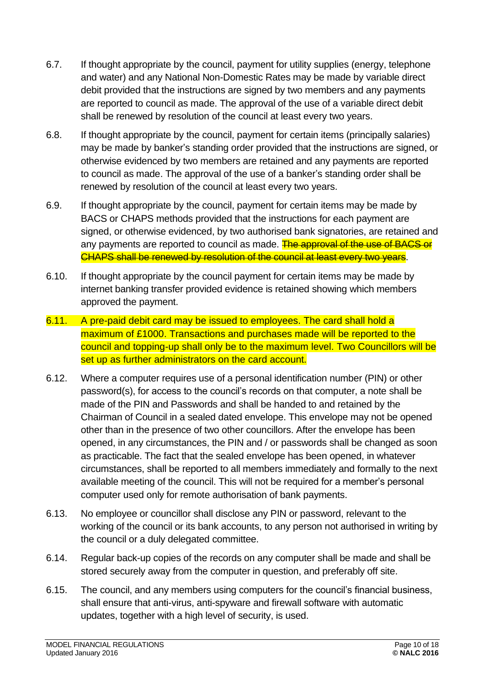- 6.7. If thought appropriate by the council, payment for utility supplies (energy, telephone and water) and any National Non-Domestic Rates may be made by variable direct debit provided that the instructions are signed by two members and any payments are reported to council as made. The approval of the use of a variable direct debit shall be renewed by resolution of the council at least every two years.
- 6.8. If thought appropriate by the council, payment for certain items (principally salaries) may be made by banker's standing order provided that the instructions are signed, or otherwise evidenced by two members are retained and any payments are reported to council as made. The approval of the use of a banker's standing order shall be renewed by resolution of the council at least every two years.
- 6.9. If thought appropriate by the council, payment for certain items may be made by BACS or CHAPS methods provided that the instructions for each payment are signed, or otherwise evidenced, by two authorised bank signatories, are retained and any payments are reported to council as made. The approval of the use of BACS or CHAPS shall be renewed by resolution of the council at least every two years.
- 6.10. If thought appropriate by the council payment for certain items may be made by internet banking transfer provided evidence is retained showing which members approved the payment.
- 6.11. A pre-paid debit card may be issued to employees. The card shall hold a maximum of £1000. Transactions and purchases made will be reported to the council and topping-up shall only be to the maximum level. Two Councillors will be set up as further administrators on the card account.
- 6.12. Where a computer requires use of a personal identification number (PIN) or other password(s), for access to the council's records on that computer, a note shall be made of the PIN and Passwords and shall be handed to and retained by the Chairman of Council in a sealed dated envelope. This envelope may not be opened other than in the presence of two other councillors. After the envelope has been opened, in any circumstances, the PIN and / or passwords shall be changed as soon as practicable. The fact that the sealed envelope has been opened, in whatever circumstances, shall be reported to all members immediately and formally to the next available meeting of the council. This will not be required for a member's personal computer used only for remote authorisation of bank payments.
- 6.13. No employee or councillor shall disclose any PIN or password, relevant to the working of the council or its bank accounts, to any person not authorised in writing by the council or a duly delegated committee.
- 6.14. Regular back-up copies of the records on any computer shall be made and shall be stored securely away from the computer in question, and preferably off site.
- 6.15. The council, and any members using computers for the council's financial business, shall ensure that anti-virus, anti-spyware and firewall software with automatic updates, together with a high level of security, is used.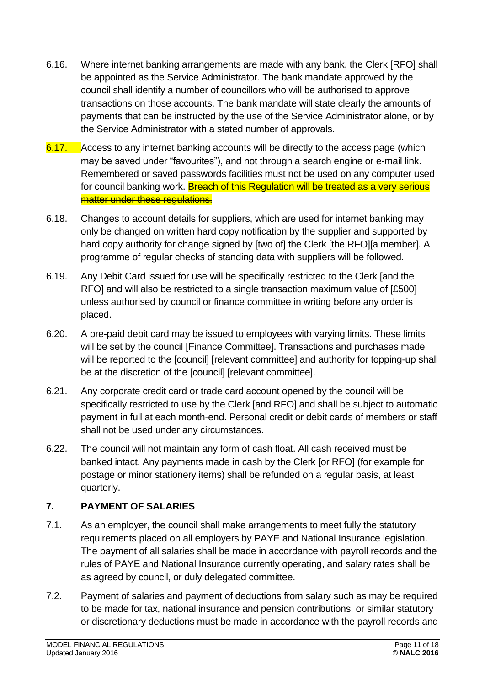- 6.16. Where internet banking arrangements are made with any bank, the Clerk [RFO] shall be appointed as the Service Administrator. The bank mandate approved by the council shall identify a number of councillors who will be authorised to approve transactions on those accounts. The bank mandate will state clearly the amounts of payments that can be instructed by the use of the Service Administrator alone, or by the Service Administrator with a stated number of approvals.
- 6.17. Access to any internet banking accounts will be directly to the access page (which may be saved under "favourites"), and not through a search engine or e-mail link. Remembered or saved passwords facilities must not be used on any computer used for council banking work. Breach of this Regulation will be treated as a very serious matter under these regulations.
- 6.18. Changes to account details for suppliers, which are used for internet banking may only be changed on written hard copy notification by the supplier and supported by hard copy authority for change signed by [two of] the Clerk [the RFO][a member]. A programme of regular checks of standing data with suppliers will be followed.
- 6.19. Any Debit Card issued for use will be specifically restricted to the Clerk [and the RFO] and will also be restricted to a single transaction maximum value of [£500] unless authorised by council or finance committee in writing before any order is placed.
- 6.20. A pre-paid debit card may be issued to employees with varying limits. These limits will be set by the council [Finance Committee]. Transactions and purchases made will be reported to the [council] [relevant committee] and authority for topping-up shall be at the discretion of the [council] [relevant committee].
- 6.21. Any corporate credit card or trade card account opened by the council will be specifically restricted to use by the Clerk [and RFO] and shall be subject to automatic payment in full at each month-end. Personal credit or debit cards of members or staff shall not be used under any circumstances.
- 6.22. The council will not maintain any form of cash float. All cash received must be banked intact. Any payments made in cash by the Clerk [or RFO] (for example for postage or minor stationery items) shall be refunded on a regular basis, at least quarterly.

# <span id="page-10-0"></span>**7. PAYMENT OF SALARIES**

- 7.1. As an employer, the council shall make arrangements to meet fully the statutory requirements placed on all employers by PAYE and National Insurance legislation. The payment of all salaries shall be made in accordance with payroll records and the rules of PAYE and National Insurance currently operating, and salary rates shall be as agreed by council, or duly delegated committee.
- 7.2. Payment of salaries and payment of deductions from salary such as may be required to be made for tax, national insurance and pension contributions, or similar statutory or discretionary deductions must be made in accordance with the payroll records and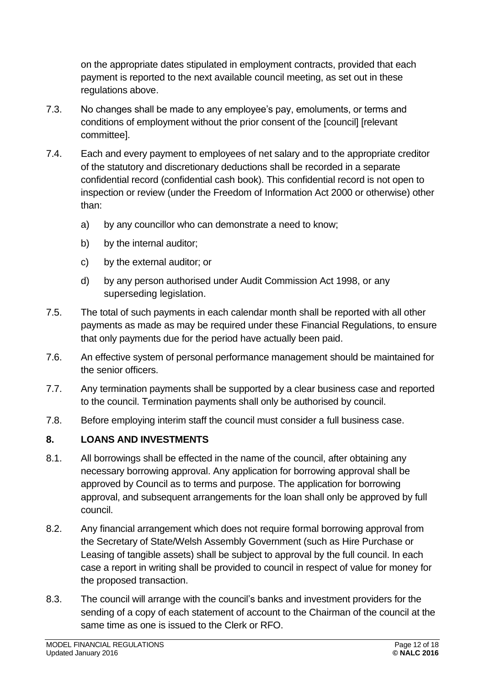on the appropriate dates stipulated in employment contracts, provided that each payment is reported to the next available council meeting, as set out in these regulations above.

- 7.3. No changes shall be made to any employee's pay, emoluments, or terms and conditions of employment without the prior consent of the [council] [relevant committee].
- 7.4. Each and every payment to employees of net salary and to the appropriate creditor of the statutory and discretionary deductions shall be recorded in a separate confidential record (confidential cash book). This confidential record is not open to inspection or review (under the Freedom of Information Act 2000 or otherwise) other than:
	- a) by any councillor who can demonstrate a need to know;
	- b) by the internal auditor;
	- c) by the external auditor; or
	- d) by any person authorised under Audit Commission Act 1998, or any superseding legislation.
- 7.5. The total of such payments in each calendar month shall be reported with all other payments as made as may be required under these Financial Regulations, to ensure that only payments due for the period have actually been paid.
- 7.6. An effective system of personal performance management should be maintained for the senior officers.
- 7.7. Any termination payments shall be supported by a clear business case and reported to the council. Termination payments shall only be authorised by council.
- 7.8. Before employing interim staff the council must consider a full business case.

#### <span id="page-11-0"></span>**8. LOANS AND INVESTMENTS**

- 8.1. All borrowings shall be effected in the name of the council, after obtaining any necessary borrowing approval. Any application for borrowing approval shall be approved by Council as to terms and purpose. The application for borrowing approval, and subsequent arrangements for the loan shall only be approved by full council.
- 8.2. Any financial arrangement which does not require formal borrowing approval from the Secretary of State/Welsh Assembly Government (such as Hire Purchase or Leasing of tangible assets) shall be subject to approval by the full council. In each case a report in writing shall be provided to council in respect of value for money for the proposed transaction.
- 8.3. The council will arrange with the council's banks and investment providers for the sending of a copy of each statement of account to the Chairman of the council at the same time as one is issued to the Clerk or RFO.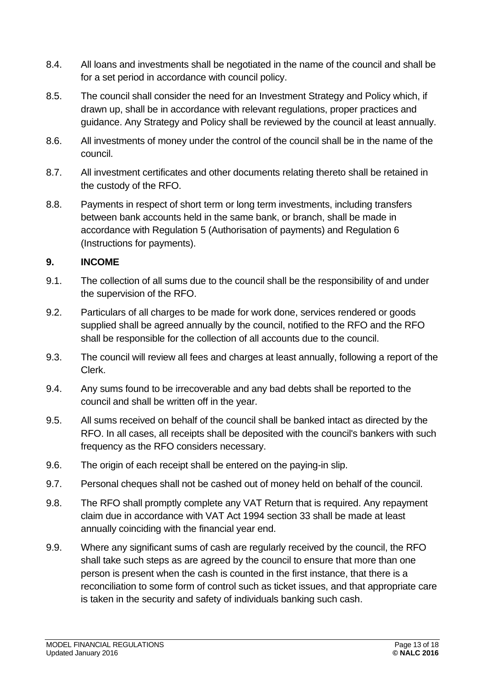- 8.4. All loans and investments shall be negotiated in the name of the council and shall be for a set period in accordance with council policy.
- 8.5. The council shall consider the need for an Investment Strategy and Policy which, if drawn up, shall be in accordance with relevant regulations, proper practices and guidance. Any Strategy and Policy shall be reviewed by the council at least annually.
- 8.6. All investments of money under the control of the council shall be in the name of the council.
- 8.7. All investment certificates and other documents relating thereto shall be retained in the custody of the RFO.
- 8.8. Payments in respect of short term or long term investments, including transfers between bank accounts held in the same bank, or branch, shall be made in accordance with Regulation 5 (Authorisation of payments) and Regulation 6 (Instructions for payments).

#### <span id="page-12-0"></span>**9. INCOME**

- 9.1. The collection of all sums due to the council shall be the responsibility of and under the supervision of the RFO.
- 9.2. Particulars of all charges to be made for work done, services rendered or goods supplied shall be agreed annually by the council, notified to the RFO and the RFO shall be responsible for the collection of all accounts due to the council.
- 9.3. The council will review all fees and charges at least annually, following a report of the Clerk.
- 9.4. Any sums found to be irrecoverable and any bad debts shall be reported to the council and shall be written off in the year.
- 9.5. All sums received on behalf of the council shall be banked intact as directed by the RFO. In all cases, all receipts shall be deposited with the council's bankers with such frequency as the RFO considers necessary.
- 9.6. The origin of each receipt shall be entered on the paying-in slip.
- 9.7. Personal cheques shall not be cashed out of money held on behalf of the council.
- 9.8. The RFO shall promptly complete any VAT Return that is required. Any repayment claim due in accordance with VAT Act 1994 section 33 shall be made at least annually coinciding with the financial year end.
- 9.9. Where any significant sums of cash are regularly received by the council, the RFO shall take such steps as are agreed by the council to ensure that more than one person is present when the cash is counted in the first instance, that there is a reconciliation to some form of control such as ticket issues, and that appropriate care is taken in the security and safety of individuals banking such cash.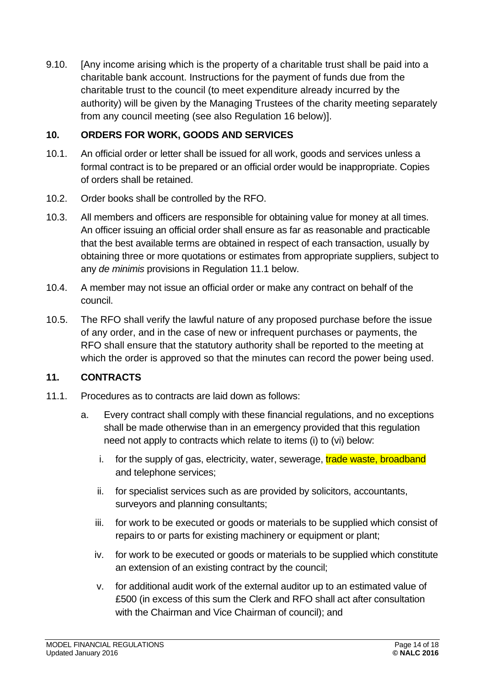9.10. [Any income arising which is the property of a charitable trust shall be paid into a charitable bank account. Instructions for the payment of funds due from the charitable trust to the council (to meet expenditure already incurred by the authority) will be given by the Managing Trustees of the charity meeting separately from any council meeting (see also Regulation 16 below)].

#### <span id="page-13-0"></span>**10. ORDERS FOR WORK, GOODS AND SERVICES**

- 10.1. An official order or letter shall be issued for all work, goods and services unless a formal contract is to be prepared or an official order would be inappropriate. Copies of orders shall be retained.
- 10.2. Order books shall be controlled by the RFO.
- 10.3. All members and officers are responsible for obtaining value for money at all times. An officer issuing an official order shall ensure as far as reasonable and practicable that the best available terms are obtained in respect of each transaction, usually by obtaining three or more quotations or estimates from appropriate suppliers, subject to any *de minimis* provisions in Regulation 11.1 below.
- 10.4. A member may not issue an official order or make any contract on behalf of the council.
- 10.5. The RFO shall verify the lawful nature of any proposed purchase before the issue of any order, and in the case of new or infrequent purchases or payments, the RFO shall ensure that the statutory authority shall be reported to the meeting at which the order is approved so that the minutes can record the power being used.

#### <span id="page-13-1"></span>**11. CONTRACTS**

- 11.1. Procedures as to contracts are laid down as follows:
	- a. Every contract shall comply with these financial regulations, and no exceptions shall be made otherwise than in an emergency provided that this regulation need not apply to contracts which relate to items (i) to (vi) below:
		- i. for the supply of gas, electricity, water, sewerage, **trade waste, broadband** and telephone services;
		- ii. for specialist services such as are provided by solicitors, accountants, surveyors and planning consultants;
		- iii. for work to be executed or goods or materials to be supplied which consist of repairs to or parts for existing machinery or equipment or plant;
		- iv. for work to be executed or goods or materials to be supplied which constitute an extension of an existing contract by the council;
		- v. for additional audit work of the external auditor up to an estimated value of £500 (in excess of this sum the Clerk and RFO shall act after consultation with the Chairman and Vice Chairman of council); and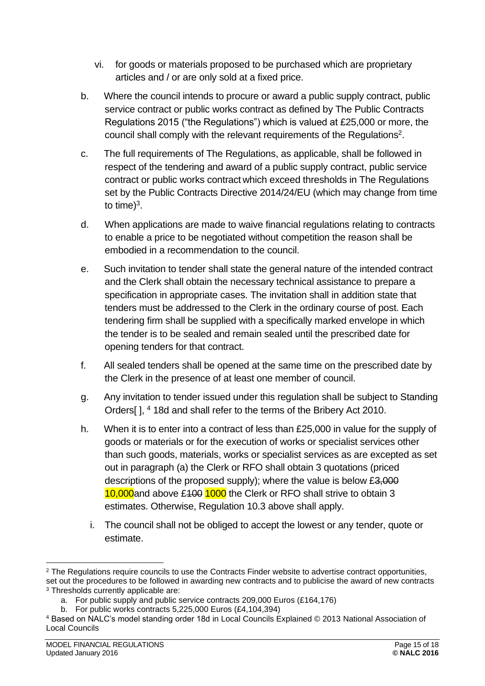- vi. for goods or materials proposed to be purchased which are proprietary articles and / or are only sold at a fixed price.
- b. Where the council intends to procure or award a public supply contract, public service contract or public works contract as defined by The Public Contracts Regulations 2015 ("the Regulations") which is valued at £25,000 or more, the council shall comply with the relevant requirements of the Regulations<sup>2</sup>.
- c. The full requirements of The Regulations, as applicable, shall be followed in respect of the tendering and award of a public supply contract, public service contract or public works contract which exceed thresholds in The Regulations set by the Public Contracts Directive 2014/24/EU (which may change from time to time) $3$ .
- d. When applications are made to waive financial regulations relating to contracts to enable a price to be negotiated without competition the reason shall be embodied in a recommendation to the council.
- e. Such invitation to tender shall state the general nature of the intended contract and the Clerk shall obtain the necessary technical assistance to prepare a specification in appropriate cases. The invitation shall in addition state that tenders must be addressed to the Clerk in the ordinary course of post. Each tendering firm shall be supplied with a specifically marked envelope in which the tender is to be sealed and remain sealed until the prescribed date for opening tenders for that contract.
- f. All sealed tenders shall be opened at the same time on the prescribed date by the Clerk in the presence of at least one member of council.
- g. Any invitation to tender issued under this regulation shall be subject to Standing Orders[], <sup>4</sup> 18d and shall refer to the terms of the Bribery Act 2010.
- h. When it is to enter into a contract of less than £25,000 in value for the supply of goods or materials or for the execution of works or specialist services other than such goods, materials, works or specialist services as are excepted as set out in paragraph (a) the Clerk or RFO shall obtain 3 quotations (priced descriptions of the proposed supply); where the value is below £3,000 10,000and above £100 1000 the Clerk or RFO shall strive to obtain 3 estimates. Otherwise, Regulation 10.3 above shall apply.
	- i. The council shall not be obliged to accept the lowest or any tender, quote or estimate.

<sup>&</sup>lt;sup>2</sup> The Regulations require councils to use the Contracts Finder website to advertise contract opportunities, set out the procedures to be followed in awarding new contracts and to publicise the award of new contracts <sup>3</sup> Thresholds currently applicable are:

a. For public supply and public service contracts 209,000 Euros (£164,176)

b. For public works contracts 5,225,000 Euros (£4,104,394)

<sup>4</sup> Based on NALC's model standing order 18d in Local Councils Explained © 2013 National Association of Local Councils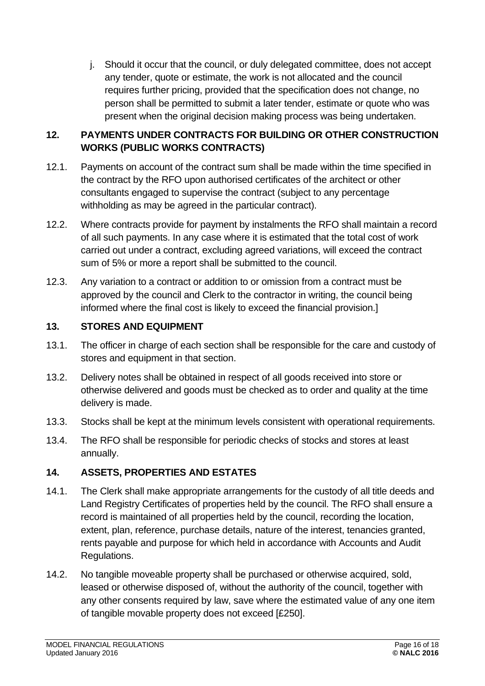j. Should it occur that the council, or duly delegated committee, does not accept any tender, quote or estimate, the work is not allocated and the council requires further pricing, provided that the specification does not change, no person shall be permitted to submit a later tender, estimate or quote who was present when the original decision making process was being undertaken.

#### <span id="page-15-0"></span>**12. PAYMENTS UNDER CONTRACTS FOR BUILDING OR OTHER CONSTRUCTION WORKS (PUBLIC WORKS CONTRACTS)**

- 12.1. Payments on account of the contract sum shall be made within the time specified in the contract by the RFO upon authorised certificates of the architect or other consultants engaged to supervise the contract (subject to any percentage withholding as may be agreed in the particular contract).
- 12.2. Where contracts provide for payment by instalments the RFO shall maintain a record of all such payments. In any case where it is estimated that the total cost of work carried out under a contract, excluding agreed variations, will exceed the contract sum of 5% or more a report shall be submitted to the council.
- 12.3. Any variation to a contract or addition to or omission from a contract must be approved by the council and Clerk to the contractor in writing, the council being informed where the final cost is likely to exceed the financial provision.]

## <span id="page-15-1"></span>**13. STORES AND EQUIPMENT**

- 13.1. The officer in charge of each section shall be responsible for the care and custody of stores and equipment in that section.
- 13.2. Delivery notes shall be obtained in respect of all goods received into store or otherwise delivered and goods must be checked as to order and quality at the time delivery is made.
- 13.3. Stocks shall be kept at the minimum levels consistent with operational requirements.
- 13.4. The RFO shall be responsible for periodic checks of stocks and stores at least annually.

# <span id="page-15-2"></span>**14. ASSETS, PROPERTIES AND ESTATES**

- 14.1. The Clerk shall make appropriate arrangements for the custody of all title deeds and Land Registry Certificates of properties held by the council. The RFO shall ensure a record is maintained of all properties held by the council, recording the location, extent, plan, reference, purchase details, nature of the interest, tenancies granted, rents payable and purpose for which held in accordance with Accounts and Audit Regulations.
- 14.2. No tangible moveable property shall be purchased or otherwise acquired, sold, leased or otherwise disposed of, without the authority of the council, together with any other consents required by law, save where the estimated value of any one item of tangible movable property does not exceed [£250].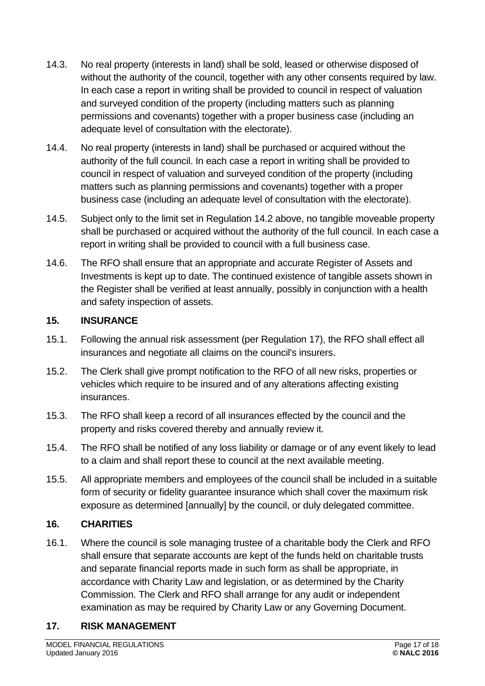- 14.3. No real property (interests in land) shall be sold, leased or otherwise disposed of without the authority of the council, together with any other consents required by law. In each case a report in writing shall be provided to council in respect of valuation and surveyed condition of the property (including matters such as planning permissions and covenants) together with a proper business case (including an adequate level of consultation with the electorate).
- 14.4. No real property (interests in land) shall be purchased or acquired without the authority of the full council. In each case a report in writing shall be provided to council in respect of valuation and surveyed condition of the property (including matters such as planning permissions and covenants) together with a proper business case (including an adequate level of consultation with the electorate).
- 14.5. Subject only to the limit set in Regulation 14.2 above, no tangible moveable property shall be purchased or acquired without the authority of the full council. In each case a report in writing shall be provided to council with a full business case.
- 14.6. The RFO shall ensure that an appropriate and accurate Register of Assets and Investments is kept up to date. The continued existence of tangible assets shown in the Register shall be verified at least annually, possibly in conjunction with a health and safety inspection of assets.

#### <span id="page-16-0"></span>**15. INSURANCE**

- 15.1. Following the annual risk assessment (per Regulation 17), the RFO shall effect all insurances and negotiate all claims on the council's insurers.
- 15.2. The Clerk shall give prompt notification to the RFO of all new risks, properties or vehicles which require to be insured and of any alterations affecting existing insurances.
- 15.3. The RFO shall keep a record of all insurances effected by the council and the property and risks covered thereby and annually review it.
- 15.4. The RFO shall be notified of any loss liability or damage or of any event likely to lead to a claim and shall report these to council at the next available meeting.
- 15.5. All appropriate members and employees of the council shall be included in a suitable form of security or fidelity guarantee insurance which shall cover the maximum risk exposure as determined [annually] by the council, or duly delegated committee.

#### <span id="page-16-1"></span>**16. CHARITIES**

16.1. Where the council is sole managing trustee of a charitable body the Clerk and RFO shall ensure that separate accounts are kept of the funds held on charitable trusts and separate financial reports made in such form as shall be appropriate, in accordance with Charity Law and legislation, or as determined by the Charity Commission. The Clerk and RFO shall arrange for any audit or independent examination as may be required by Charity Law or any Governing Document.

#### <span id="page-16-2"></span>**17. RISK MANAGEMENT**